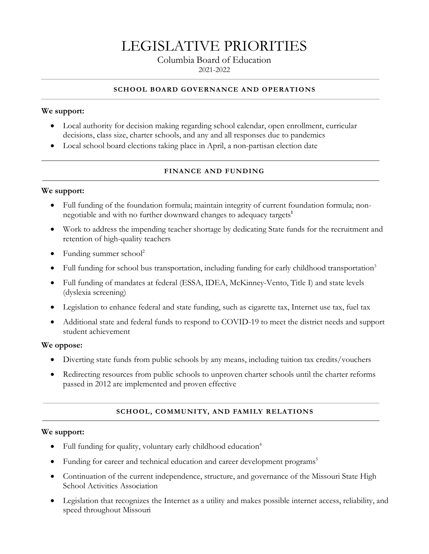# LEGISLATIVE PRIORITIES

# Columbia Board of Education

2021-2022

#### **SCHOOL BOARD GOVERNANCE AND OPERATIONS**

## **We support:**

- Local authority for decision making regarding school calendar, open enrollment, curricular decisions, class size, charter schools, and any and all responses due to pandemics
- Local school board elections taking place in April, a non-partisan election date

### **FINANCE AND FUNDING**

#### **We support:**

- Full funding of the foundation formula; maintain integrity of current foundation formula; nonnegotiable and with no further downward changes to adequacy targets**<sup>1</sup>**
- Work to address the impending teacher shortage by dedicating State funds for the recruitment and retention of high-quality teachers
- Funding summer  $school<sup>2</sup>$
- Full funding for school bus transportation, including funding for early childhood transportation<sup>3</sup>
- Full funding of mandates at federal (ESSA, IDEA, McKinney-Vento, Title I) and state levels (dyslexia screening)
- Legislation to enhance federal and state funding, such as cigarette tax, Internet use tax, fuel tax
- Additional state and federal funds to respond to COVID-19 to meet the district needs and support student achievement

#### **We oppose:**

- Diverting state funds from public schools by any means, including tuition tax credits/vouchers
- Redirecting resources from public schools to unproven charter schools until the charter reforms passed in 2012 are implemented and proven effective

### **SCHOOL, COMMUNITY, AND FAMILY RELATIONS**

#### **We support:**

- Full funding for quality, voluntary early childhood education<sup>4</sup>
- Funding for career and technical education and career development programs<sup>5</sup>
- Continuation of the current independence, structure, and governance of the Missouri State High School Activities Association
- Legislation that recognizes the Internet as a utility and makes possible internet access, reliability, and speed throughout Missouri